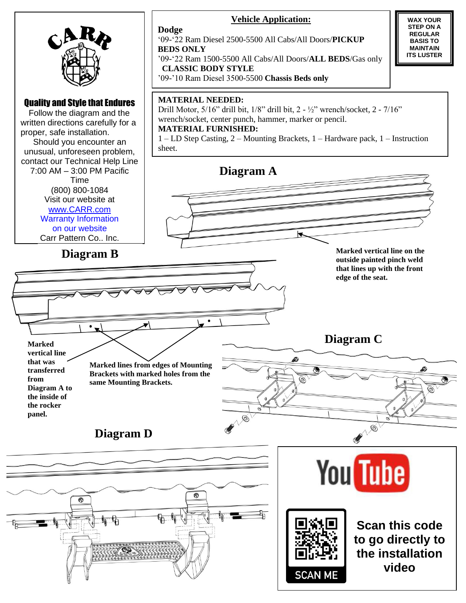